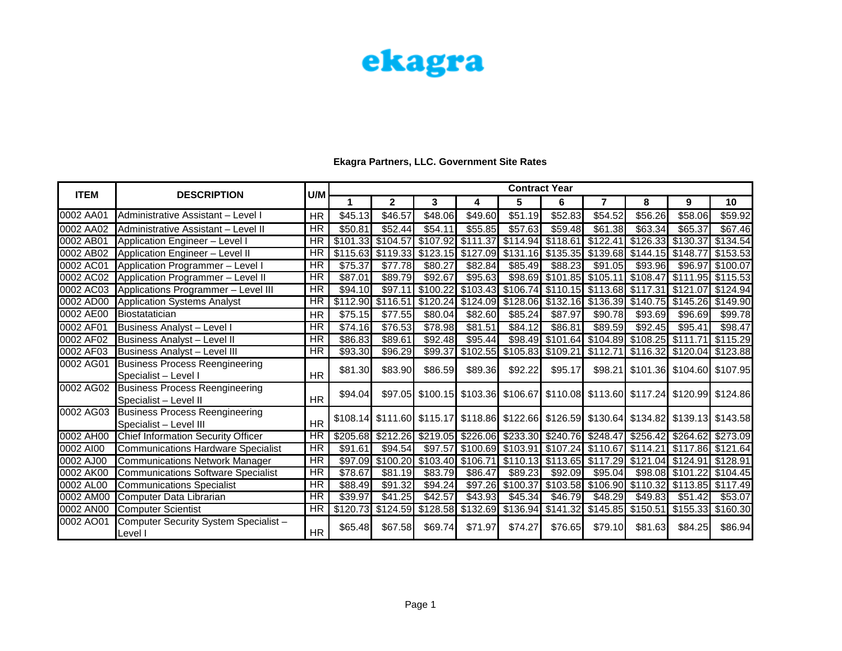|             | <b>DESCRIPTION</b>                                              | U/M                    | <b>Contract Year</b> |                     |          |                                                                                 |                                        |          |                     |                                         |                                                       |                                                                                           |  |
|-------------|-----------------------------------------------------------------|------------------------|----------------------|---------------------|----------|---------------------------------------------------------------------------------|----------------------------------------|----------|---------------------|-----------------------------------------|-------------------------------------------------------|-------------------------------------------------------------------------------------------|--|
| <b>ITEM</b> |                                                                 |                        |                      | $\mathbf{2}$        | 3        | 4                                                                               | 5                                      | 6        | $\overline{7}$      | 8                                       | 9                                                     | 10                                                                                        |  |
| 0002 AA01   | Administrative Assistant - Level I                              | <b>HR</b>              | \$45.13              | \$46.57             | \$48.06  | \$49.60                                                                         | \$51.19                                | \$52.83  | \$54.52             | \$56.26                                 | \$58.06                                               | \$59.92                                                                                   |  |
| 0002 AA02   | Administrative Assistant - Level II                             | $\overline{\text{HR}}$ | \$50.81              | \$52.44             | \$54.11  | \$55.85                                                                         | \$57.63                                | \$59.48  | \$61.38             | \$63.34                                 | \$65.37                                               | \$67.46                                                                                   |  |
| 0002 AB01   | Application Engineer - Level I                                  | <b>HR</b>              |                      | \$101.33 \$104.57   |          | \$107.92 \$111.37                                                               | \$114.94]                              | \$118.61 | \$122.41            |                                         | \$126.33 \$130.37                                     | \$134.54                                                                                  |  |
| 0002 AB02   | Application Engineer - Level II                                 | <b>HR</b>              |                      |                     |          | $$115.63$ $$119.33$ $$123.15$ $$127.09$                                         |                                        |          |                     | $$131.16$ $$135.35$ $$139.68$ $$144.15$ | \$148.77                                              | \$153.53                                                                                  |  |
| 0002 AC01   | Application Programmer - Level I                                | <b>HR</b>              | \$75.37              | \$77.78             | \$80.27  | \$82.84                                                                         | \$85.49                                | \$88.23  | \$91.05             | \$93.96                                 | \$96.97                                               | \$100.07                                                                                  |  |
| 0002 AC02   | Application Programmer - Level II                               | <b>HR</b>              | \$87.01              | \$89.79             | \$92.67  | \$95.63                                                                         | \$98.69                                |          | $$101.85$ $$105.11$ | \$108.47                                | \$111.95 \$115.53                                     |                                                                                           |  |
| 0002 AC03   | Applications Programmer - Level III                             | <b>HR</b>              | \$94.10              | \$97.11             | \$100.22 | \$103.43                                                                        |                                        |          |                     |                                         | \$106.74 \$110.15 \$113.68 \$117.31 \$121.07 \$124.94 |                                                                                           |  |
| 0002 AD00   | <b>Application Systems Analyst</b>                              | <b>HR</b>              | \$112.90             |                     |          | $$116.51$ $$120.24$ $$124.09$ $$128.06$ $$132.16$ $$136.39$ $$140.75$ $$145.26$ |                                        |          |                     |                                         |                                                       | \$149.90                                                                                  |  |
| 0002 AE00   | Biostatatician                                                  | <b>HR</b>              | \$75.15              | \$77.55             | \$80.04  | \$82.60                                                                         | \$85.24                                | \$87.97  | \$90.78]            | \$93.69                                 | \$96.69                                               | \$99.78                                                                                   |  |
| 0002 AF01   | <b>Business Analyst - Level I</b>                               | <b>HR</b>              | \$74.16              | $\overline{$76.53}$ | \$78.98  | \$81.51                                                                         | \$84.12                                | \$86.81  | \$89.59             | \$92.45                                 | \$95.41                                               | \$98.47                                                                                   |  |
| 0002 AF02   | <b>Business Analyst - Level II</b>                              | HR                     | \$86.83              | \$89.61             | \$92.48  | \$95.44                                                                         |                                        |          |                     | \$98.49 \$101.64 \$104.89 \$108.25      | \$111.71                                              | \$115.29                                                                                  |  |
| 0002 AF03   | Business Analyst - Level III                                    | <b>HR</b>              | \$93.30              | \$96.29             | \$99.37  | \$102.55                                                                        | \$105.83 \$109.21                      |          | \$112.71            |                                         | \$116.32 \$120.04                                     | \$123.88                                                                                  |  |
| 0002 AG01   | <b>Business Process Reengineering</b><br>Specialist - Level I   | <b>HR</b>              | \$81.30              | \$83.90             | \$86.59  | \$89.36                                                                         | \$92.22                                | \$95.17  |                     |                                         | \$98.21 \$101.36 \$104.60 \$107.95                    |                                                                                           |  |
| 0002 AG02   | <b>Business Process Reengineering</b><br>Specialist - Level II  | <b>HR</b>              | \$94.04              |                     |          |                                                                                 |                                        |          |                     |                                         |                                                       | \$97.05 \$100.15 \$103.36 \$106.67 \$110.08 \$113.60 \$117.24 \$120.99 \$124.86           |  |
| 0002 AG03   | <b>Business Process Reengineering</b><br>Specialist - Level III | <b>HR</b>              |                      |                     |          |                                                                                 |                                        |          |                     |                                         |                                                       | \$108.14 \$111.60 \$115.17 \$118.86 \$122.66 \$126.59 \$130.64 \$134.82 \$139.13 \$143.58 |  |
| 0002 AH00   | Chief Information Security Officer                              | <b>HR</b>              | \$205.68             |                     |          | $$212.26$ $$219.05$ $$226.06$ $$233.30$ $$240.76$ $$248.47$                     |                                        |          |                     | \$256.42                                | \$264.62                                              | \$273.09                                                                                  |  |
| 0002 AI00   | <b>Communications Hardware Specialist</b>                       | <b>HR</b>              | \$91.61              | $\overline{$}94.54$ | \$97.57  |                                                                                 | \$100.69  \$103.91  \$107.24  \$110.67 |          |                     | \$114.21                                | \$117.86                                              | \$121.64                                                                                  |  |
| 0002 AJ00   | <b>Communications Network Manager</b>                           | HR                     | \$97.09              |                     |          | $$100.20$ $$103.40$ $$106.71$                                                   |                                        |          |                     |                                         | \$110.13 \$113.65 \$117.29 \$121.04 \$124.91          | \$128.91                                                                                  |  |
| 0002 AK00   | <b>Communications Software Specialist</b>                       | <b>HR</b>              | \$78.67              | \$81.19             | \$83.79  | \$86.47                                                                         | \$89.23                                | \$92.09  | \$95.04]            |                                         | \$98.08 \$101.22                                      | \$104.45                                                                                  |  |
| 0002 AL00   | <b>Communications Specialist</b>                                | <b>HR</b>              | \$88.49              | \$91.32             | \$94.24  | \$97.26                                                                         |                                        |          |                     |                                         | \$100.37 \$103.58 \$106.90 \$110.32 \$113.85 \$117.49 |                                                                                           |  |
| 0002 AM00   | Computer Data Librarian                                         | <b>HR</b>              | \$39.97              | \$41.25             | \$42.57  | \$43.93                                                                         | \$45.34]                               | \$46.79  | \$48.29             | \$49.83                                 | \$51.42                                               | \$53.07                                                                                   |  |
| 0002 AN00   | <b>Computer Scientist</b>                                       | <b>HR</b>              | \$120.73             |                     |          | $$124.59$ $$128.58$ $$132.69$                                                   | \$136.94                               | \$141.32 |                     | \$145.85 \$150.51                       | \$155.33                                              | \$160.30                                                                                  |  |
| 0002 AO01   | Computer Security System Specialist -<br>Level I                | <b>HR</b>              | \$65.48]             | \$67.58             | \$69.74] | \$71.97                                                                         | \$74.27                                | \$76.65  | \$79.10             | \$81.63                                 | \$84.25                                               | \$86.94                                                                                   |  |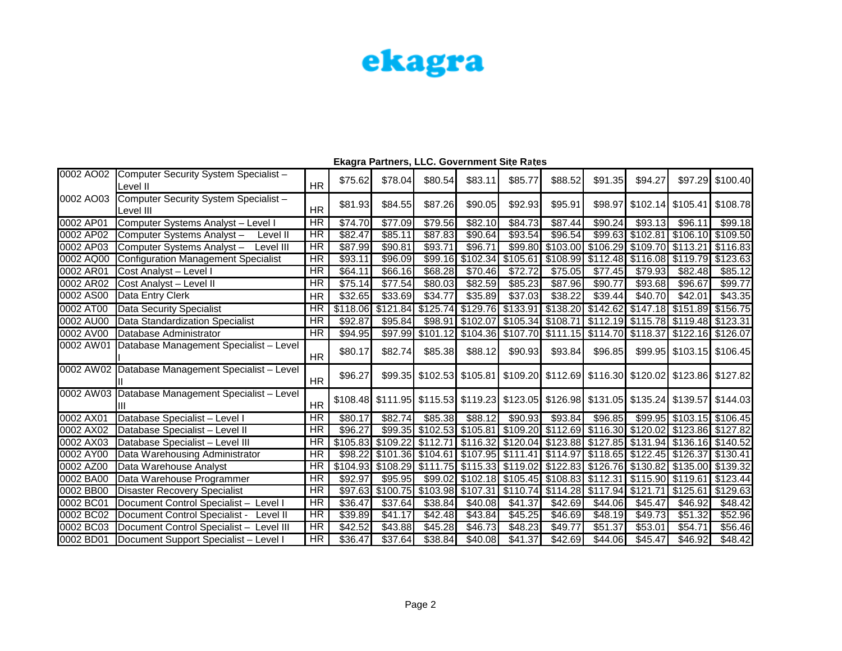| 0002 AO02 | Computer Security System Specialist -<br>Level II  | <b>HR</b>                | \$75.62  | \$78.04                    | \$80.54  | \$83.11                                                                                   | \$85.77  | \$88.52  | \$91.35 | \$94.27             |                                                                | \$97.29 \$100.40 |
|-----------|----------------------------------------------------|--------------------------|----------|----------------------------|----------|-------------------------------------------------------------------------------------------|----------|----------|---------|---------------------|----------------------------------------------------------------|------------------|
| 0002 AO03 | Computer Security System Specialist -<br>Level III | <b>HR</b>                | \$81.93] | \$84.55                    | \$87.26  | \$90.05                                                                                   | \$92.93  | \$95.91  | \$98.97 |                     | $$102.14$ $$105.41$                                            | \$108.78         |
| 0002 AP01 | Computer Systems Analyst - Level I                 | $\overline{\text{HR}}$   | \$74.70  | \$77.09                    | \$79.56  | \$82.10                                                                                   | \$84.73  | \$87.44  | \$90.24 | \$93.13             | \$96.11                                                        | \$99.18          |
| 0002 AP02 | Computer Systems Analyst-<br>Level II              | <b>HR</b>                | \$82.47  | \$85.11                    | \$87.83  | \$90.64                                                                                   | \$93.54  | \$96.54  |         |                     | \$99.63 \$102.81 \$106.10 \$109.50                             |                  |
| 0002 AP03 | Computer Systems Analyst-<br>Level III             | HR                       | \$87.99  | \$90.81                    | \$93.71  | \$96.71                                                                                   | \$99.80  |          |         |                     | \$103.00 \$106.29 \$109.70 \$113.21 \$116.83                   |                  |
| 0002 AQ00 | Configuration Management Specialist                | <b>HR</b>                | \$93.11  | \$96.09                    | \$99.16  | \$102.34                                                                                  | \$105.61 | \$108.99 |         | $$112.48$ $$116.08$ | \$119.79                                                       | \$123.63         |
| 0002 AR01 | Cost Analyst - Level I                             | <b>HR</b>                | \$64.11  | \$66.16                    | \$68.28  | \$70.46                                                                                   | \$72.72  | \$75.05  | \$77.45 | \$79.93             | \$82.48                                                        | \$85.12          |
| 0002 AR02 | Cost Analyst - Level II                            | <b>HR</b>                | \$75.14  | \$77.54                    | \$80.03  | \$82.59                                                                                   | \$85.23  | \$87.96  | \$90.77 | \$93.68             | \$96.67                                                        | \$99.77          |
| 0002 AS00 | Data Entry Clerk                                   | <b>HR</b>                | \$32.65  | \$33.69                    | \$34.77  | \$35.89                                                                                   | \$37.03  | \$38.22  | \$39.44 | \$40.70             | \$42.01                                                        | \$43.35          |
| 0002 AT00 | Data Security Specialist                           | <b>HR</b>                | \$118.06 | \$121.84                   | \$125.74 |                                                                                           |          |          |         |                     | \$129.76 \$133.91 \$138.20 \$142.62 \$147.18 \$151.89 \$156.75 |                  |
| 0002 AU00 | Data Standardization Specialist                    | <b>HR</b>                | \$92.87  | \$95.84                    | \$98.91  |                                                                                           |          |          |         |                     | \$102.07 \$105.34 \$108.71 \$112.19 \$115.78 \$119.48 \$123.31 |                  |
| 0002 AV00 | Database Administrator                             | <b>HR</b>                | \$94.95  | \$97.99                    | \$101.12 |                                                                                           |          |          |         |                     | $$104.36$ $$107.70$ $$111.15$ $$114.70$ $$118.37$ $$122.16$    | \$126.07         |
| 0002 AW01 | Database Management Specialist - Level             | <b>HR</b>                | \$80.17  | \$82.74                    | \$85.38  | \$88.12                                                                                   | \$90.93] | \$93.84  | \$96.85 |                     | \$99.95 \$103.15 \$106.45                                      |                  |
|           | 0002 AW02 Database Management Specialist - Level   | <b>HR</b>                | \$96.27  |                            |          | \$99.35 \$102.53 \$105.81 \$109.20 \$112.69 \$116.30 \$120.02 \$123.86 \$127.82           |          |          |         |                     |                                                                |                  |
|           | 0002 AW03 Database Management Specialist - Level   | <b>HR</b>                |          |                            |          | \$108.48 \$111.95 \$115.53 \$119.23 \$123.05 \$126.98 \$131.05 \$135.24 \$139.57 \$144.03 |          |          |         |                     |                                                                |                  |
| 0002 AX01 | Database Specialist - Level I                      | <b>HR</b>                | \$80.17  | \$82.74]                   | \$85.38  | \$88.12                                                                                   | \$90.93] | \$93.84  | \$96.85 |                     | \$99.95 \$103.15 \$106.45                                      |                  |
| 0002 AX02 | Database Specialist - Level II                     | <b>HR</b>                | \$96.27  |                            |          | \$99.35 \$102.53 \$105.81 \$109.20 \$112.69 \$116.30 \$120.02 \$123.86 \$127.82           |          |          |         |                     |                                                                |                  |
| 0002 AX03 | Database Specialist - Level III                    | <b>HR</b>                |          | \$105.83 \$109.22 \$112.71 |          |                                                                                           |          |          |         |                     | \$116.32 \$120.04 \$123.88 \$127.85 \$131.94 \$136.16 \$140.52 |                  |
| 0002 AY00 | Data Warehousing Administrator                     | <b>HR</b>                |          |                            |          | \$98.22 \$101.36 \$104.61 \$107.95 \$111.41 \$114.97 \$118.65 \$122.45 \$126.37 \$130.41  |          |          |         |                     |                                                                |                  |
| 0002 AZ00 | Data Warehouse Analyst                             | <b>HR</b>                |          |                            |          | \$104.93 \$108.29 \$111.75 \$115.33 \$119.02 \$122.83 \$126.76 \$130.82 \$135.00 \$139.32 |          |          |         |                     |                                                                |                  |
| 0002 BA00 | Data Warehouse Programmer                          | HR                       | \$92.97  | \$95.95                    |          | \$99.02 \$102.18 \$105.45 \$108.83 \$112.31 \$115.90 \$119.61                             |          |          |         |                     |                                                                | \$123.44         |
| 0002 BB00 | <b>Disaster Recovery Specialist</b>                | <b>HR</b>                |          | \$97.63 \$100.75           |          | \$103.98 \$107.31 \$110.74 \$114.28 \$117.94                                              |          |          |         |                     | \$121.71 \$125.61                                              | \$129.63         |
| 0002 BC01 | Document Control Specialist - Level I              | <b>HR</b>                | \$36.47  | \$37.64                    | \$38.84  | \$40.08                                                                                   | \$41.37  | \$42.69  | \$44.06 | \$45.47             | \$46.92                                                        | \$48.42          |
| 0002 BC02 | Document Control Specialist -<br>Level II          | <b>HR</b>                | \$39.89  | \$41.17                    | \$42.48  | \$43.84                                                                                   | \$45.25  | \$46.69  | \$48.19 | \$49.73             | \$51.32                                                        | \$52.96          |
| 0002 BC03 | Document Control Specialist - Level III            | $\overline{\mathsf{HR}}$ | \$42.52  | \$43.88                    | \$45.28  | \$46.73                                                                                   | \$48.23  | \$49.77  | \$51.37 | \$53.01             | \$54.71                                                        | \$56.46          |
| 0002 BD01 | Document Support Specialist - Level I              | HR                       | \$36.47  | \$37.64                    | \$38.84  | \$40.08                                                                                   | \$41.37  | \$42.69  | \$44.06 | \$45.47             | \$46.92                                                        | \$48.42          |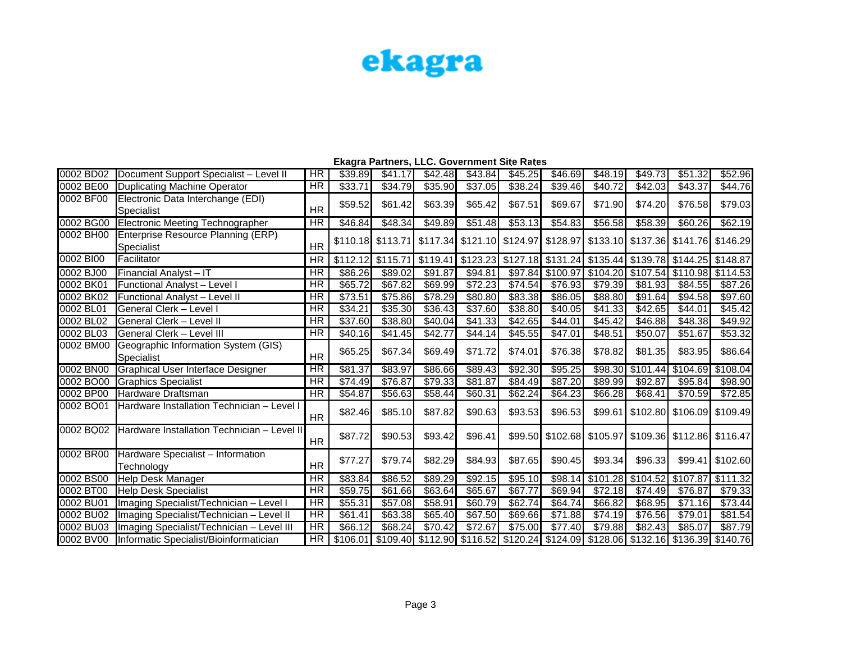|           |                                                   |                        | - 11 v. m. m. m. |                        |          | anthono, EEO, OO forminont Olto Hatoc                                            |                     |                     |           |                                                                |                     |                     |
|-----------|---------------------------------------------------|------------------------|------------------|------------------------|----------|----------------------------------------------------------------------------------|---------------------|---------------------|-----------|----------------------------------------------------------------|---------------------|---------------------|
| 0002 BD02 | Document Support Specialist - Level II            | <b>HR</b>              | \$39.89          | \$41.17                | \$42.48  | \$43.84                                                                          | \$45.25             | \$46.69             | \$48.19   | \$49.73                                                        | \$51.32             | \$52.96             |
| 0002 BE00 | Duplicating Machine Operator                      | <b>HR</b>              | \$33.71          | \$34.79                | \$35.90  | \$37.05                                                                          | \$38.24             | \$39.46             | \$40.72   | \$42.03                                                        | \$43.37             | \$44.76             |
| 0002 BF00 | Electronic Data Interchange (EDI)<br>Specialist   | <b>HR</b>              | \$59.52          | \$61.42                | \$63.39  | \$65.42                                                                          | \$67.51             | \$69.67             | \$71.90   | \$74.20                                                        | \$76.58             | \$79.03             |
| 0002 BG00 | Electronic Meeting Technographer                  | HR                     | \$46.84          | \$48.34                | \$49.89  | \$51.48                                                                          | \$53.13             | \$54.83             | \$56.58   | \$58.39                                                        | \$60.26             | \$62.19             |
| 0002 BH00 | Enterprise Resource Planning (ERP)<br>Specialist  | <b>HR</b>              |                  | \$110.18 \\$113.71     |          | \$117.34 \$121.10 \$124.97 \$128.97 \$133.10 \$137.36 \$141.76 \$146.29          |                     |                     |           |                                                                |                     |                     |
| 0002 BI00 | Facilitator                                       | <b>HR</b>              | \$112.12         | $\frac{1}{2}$ \$115.71 | \$119.41 |                                                                                  |                     |                     |           | \$123.23 \$127.18 \$131.24 \$135.44 \$139.78 \$144.25 \$148.87 |                     |                     |
| 0002 BJ00 | Financial Analyst - IT                            | <b>HR</b>              | \$86.26          | \$89.02                | \$91.87  | \$94.81                                                                          | \$97.84]            |                     |           | \$100.97 \$104.20 \$107.54                                     |                     | \$110.98 \\$114.53  |
| 0002 BK01 | Functional Analyst - Level I                      | <b>HR</b>              | \$65.72          | \$67.82                | \$69.99  | \$72.23                                                                          | $\overline{$}74.54$ | $\overline{$}76.93$ | \$79.39   | \$81.93                                                        | \$84.55             | \$87.26             |
| 0002 BK02 | Functional Analyst - Level II                     | <b>HR</b>              | \$73.51          | \$75.86                | \$78.29  | \$80.80                                                                          | \$83.38             | \$86.05             | \$88.80   | \$91.64                                                        | \$94.58             | \$97.60             |
| 0002 BL01 | General Clerk – Level I                           | <b>HR</b>              | \$34.21          | \$35.30                | \$36.43  | \$37.60                                                                          | \$38.80             | \$40.05             | \$41.33   | \$42.65                                                        | \$44.01             | $\overline{$45.42}$ |
| 0002 BL02 | General Clerk - Level II                          | HR                     | \$37.60          | \$38.80                | \$40.04  | \$41.33                                                                          | \$42.65             | \$44.01             | \$45.42   | \$46.88                                                        | \$48.38             | \$49.92             |
| 0002 BL03 | General Clerk – Level III                         | <b>HR</b>              | \$40.16          | \$41.45                | \$42.77  | \$44.14                                                                          | \$45.55             | \$47.01             | \$48.51   | \$50.07                                                        | \$51.67             | \$53.32             |
| 0002 BM00 | Geographic Information System (GIS)<br>Specialist | <b>HR</b>              | \$65.25          | \$67.34                | \$69.49  | \$71.72                                                                          | \$74.01             | \$76.38             | \$78.82   | \$81.35                                                        | \$83.95             | \$86.64             |
| 0002 BN00 | Graphical User Interface Designer                 | $\overline{\text{HR}}$ | \$81.37          | \$83.97                | \$86.66  | \$89.43                                                                          | $\overline{$92.30}$ | \$95.25             | \$98.30   | $\overline{$}101.44$                                           | \$104.69            | \$108.04            |
| 0002 BO00 | <b>Graphics Specialist</b>                        | HR                     | \$74.49          | \$76.87                | \$79.33  | \$81.87                                                                          | \$84.49             | \$87.20             | \$89.99   | \$92.87                                                        | \$95.84             | \$98.90             |
| 0002 BP00 | Hardware Draftsman                                | <b>HR</b>              | \$54.87          | \$56.63                | \$58.44  | \$60.31                                                                          | \$62.24             | \$64.23             | \$66.28   | \$68.41                                                        | \$70.59             | \$72.85             |
| 0002 BQ01 | Hardware Installation Technician - Level I        | <b>HR</b>              | \$82.46]         | \$85.10                | \$87.82  | \$90.63                                                                          | \$93.53             | \$96.53             |           | \$99.61 \$102.80 \$106.09 \$109.49                             |                     |                     |
| 0002 BQ02 | Hardware Installation Technician - Level II       | <b>HR</b>              | \$87.72          | \$90.53                | \$93.42  | \$96.41                                                                          |                     |                     |           | \$99.50 \$102.68 \$105.97 \$109.36 \$112.86 \$116.47           |                     |                     |
| 0002 BR00 | Hardware Specialist - Information<br>Technology   | <b>HR</b>              | \$77.27          | \$79.74                | \$82.29  | \$84.93                                                                          | \$87.65             | \$90.45             | \$93.34   | \$96.33                                                        | \$99.41             | \$102.60            |
| 0002 BS00 | Help Desk Manager                                 | HR                     | \$83.84          | \$86.52                | \$89.29  | \$92.15                                                                          | \$95.10             | \$98.14]            | \$101.28] | \$104.52                                                       | \$107.87            | \$111.32            |
| 0002 BT00 | Help Desk Specialist                              | <b>HR</b>              | \$59.75          | \$61.66                | \$63.64  | \$65.67                                                                          | \$67.77             | \$69.94             | \$72.18   | \$74.49                                                        | \$76.87             | \$79.33             |
| 0002 BU01 | Imaging Specialist/Technician - Level I           | HR                     | \$55.31          | \$57.08                | \$58.91  | \$60.79                                                                          | \$62.74             | \$64.74             | \$66.82   | \$68.95                                                        | \$71.16             | \$73.44             |
| 0002 BU02 | Imaging Specialist/Technician - Level II          | <b>HR</b>              | \$61.41          | \$63.38                | \$65.40  | \$67.50                                                                          | \$69.66             | \$71.88             | \$74.19   | \$76.56                                                        | $\overline{$}79.01$ | \$81.54             |
| 0002 BU03 | Imaging Specialist/Technician - Level III         | <b>HR</b>              | \$66.12          | \$68.24                | \$70.42  | \$72.67                                                                          | $\overline{$}75.00$ | \$77.40             | \$79.88   | \$82.43                                                        | \$85.07             | \$87.79             |
| 0002 BV00 | Informatic Specialist/Bioinformatician            | HR                     |                  |                        |          | \$106.01 \$109.40 \$112.90 \$116.52 \$120.24 \$124.09 \$128.06 \$132.16 \$136.39 |                     |                     |           |                                                                |                     | \$140.76            |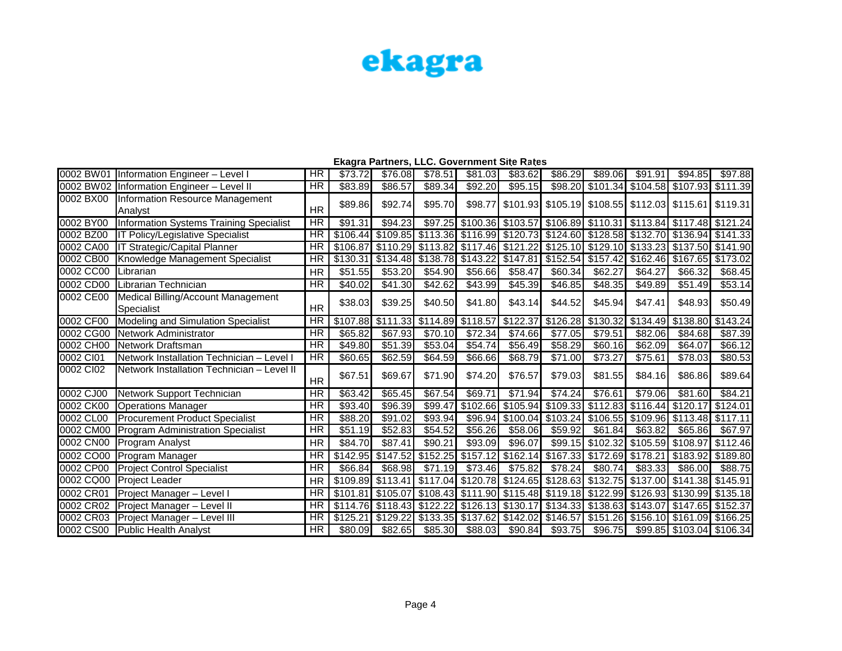| 0002 BW01 | Information Engineer - Level I                   | <b>HR</b>              | \$73.72  | \$76.08            | \$78.51         | \$81.03             | \$83.62  | \$86.29             | \$89.06                                                                                   | \$91.91  | \$94.85                    | \$97.88                   |
|-----------|--------------------------------------------------|------------------------|----------|--------------------|-----------------|---------------------|----------|---------------------|-------------------------------------------------------------------------------------------|----------|----------------------------|---------------------------|
|           | 0002 BW02 Information Engineer - Level II        | $\overline{HR}$        | \$83.89  | \$86.57            | \$89.34         | \$92.20             | \$95.15  | \$98.20             | \$101.34                                                                                  |          | \$104.58 \$107.93 \$111.39 |                           |
| 0002 BX00 | Information Resource Management                  |                        | \$89.86  | \$92.74            | \$95.70         |                     |          |                     | \$98.77 \$101.93 \$105.19 \$108.55 \$112.03 \$115.61 \$119.31                             |          |                            |                           |
|           | Analvst                                          | <b>HR</b>              |          |                    |                 |                     |          |                     |                                                                                           |          |                            |                           |
| 0002 BY00 | Information Systems Training Specialist          | HR                     | \$91.31  | \$94.23            |                 |                     |          |                     | \$97.25 \$100.36 \$103.57 \$106.89 \$110.31 \$113.84 \$117.48 \$121.24                    |          |                            |                           |
| 0002 BZ00 | <b>IT Policy/Legislative Specialist</b>          | <b>HR</b>              |          |                    |                 |                     |          |                     | \$106.44 \$109.85 \$113.36 \$116.99 \$120.73 \$124.60 \$128.58 \$132.70 \$136.94 \$141.33 |          |                            |                           |
| 0002 CA00 | IT Strategic/Capital Planner                     | <b>HR</b>              |          |                    |                 |                     |          |                     | \$106.87 \$110.29 \$113.82 \$117.46 \$121.22 \$125.10 \$129.10 \$133.23 \$137.50 \$141.90 |          |                            |                           |
| 0002 CB00 | Knowledge Management Specialist                  | <b>HR</b>              |          |                    |                 |                     |          |                     | \$130.31 \$134.48 \$138.78 \$143.22 \$147.81 \$152.54 \$157.42                            |          | \$162.46 \$167.65 \$173.02 |                           |
| 0002 CC00 | Librarian                                        | <b>HR</b>              | \$51.55  | \$53,20            | \$54.90         | \$56.66             | \$58.47  | \$60.34             | \$62.27                                                                                   | \$64.27  | \$66.32                    | \$68.45                   |
| 0002 CD00 | Librarian Technician                             | <b>HR</b>              | \$40.02  | \$41.30            | \$42.62         | \$43.99             | \$45.39  | \$46.85             | \$48.35                                                                                   | \$49.89  | \$51.49                    | \$53.14                   |
| 0002 CE00 | Medical Billing/Account Management               | <b>HR</b>              | \$38.03  | \$39.25            | \$40.50         | \$41.80             | \$43.14] | \$44.52             | \$45.94                                                                                   | \$47.41  | \$48.93                    | \$50.49                   |
| 0002 CF00 | Specialist<br>Modeling and Simulation Specialist | $\overline{\text{HR}}$ |          | \$107.88 \\$111.33 |                 | $$114.89$ $$118.57$ |          | $$122.37$ $$126.28$ | \$130.32                                                                                  | \$134.49 |                            | \$138.80 \\$143.24        |
| 0002 CG00 | <b>INetwork Administrator</b>                    | <b>HR</b>              | \$65.82  | \$67.93            | \$70.10         | \$72.34             | \$74.66  | $\overline{$}77.05$ | \$79.51                                                                                   | \$82.06  | \$84.68                    | \$87.39                   |
| 0002 CH00 | Network Draftsman                                | <b>HR</b>              | \$49.80  | \$51.39            | \$53.04         | \$54.74             | \$56.49  | \$58.29             | \$60.16                                                                                   | \$62.09  | \$64.07                    | \$66.12                   |
| 0002 CI01 | INetwork Installation Technician – Level I       | $\overline{HR}$        | \$60.65  | \$62.59            | \$64.59         | \$66.66             | \$68.79  | \$71.00             | \$73.27                                                                                   | \$75.61  | \$78.03                    | \$80.53                   |
|           |                                                  |                        |          |                    |                 |                     |          |                     |                                                                                           |          |                            |                           |
| 0002 CI02 | Network Installation Technician - Level II       | <b>HR</b>              | \$67.51  | \$69.67            | \$71.90         | \$74.20             | \$76.57  | \$79.03             | \$81.55                                                                                   | \$84.16  | \$86.86                    | \$89.64                   |
| 0002 CJ00 | Network Support Technician                       | <b>HR</b>              | \$63.42  | \$65.45            | \$67.54         | \$69.71             | \$71.94  | \$74.24]            | \$76.61                                                                                   | \$79.06  | \$81.60                    | \$84.21                   |
| 0002 CK00 | <b>Operations Manager</b>                        | <b>HR</b>              | \$93.40  | \$96.39            | $\sqrt{$99.47}$ | \$102.66            |          | $$105.94$ $$109.33$ | \$112.83                                                                                  | \$116.44 | \$120.17 \$124.01          |                           |
| 0002 CL00 | <b>Procurement Product Specialist</b>            | <b>HR</b>              | \$88.20  | \$91.02            | \$93.94         | \$96.94             |          | \$100.04 \\$103.24  | \$106.55                                                                                  | \$109.96 | S113.48 S117.11            |                           |
| 0002 CM00 | Program Administration Specialist                | <b>HR</b>              | \$51.19  | \$52.83            | \$54.52         | \$56.26             | \$58.06  | \$59.92             | \$61.84]                                                                                  | \$63.82  | \$65.86                    | \$67.97                   |
| 0002 CN00 | Program Analyst                                  | <b>HR</b>              | \$84.70  | \$87.41            | \$90.21         | \$93.09             | \$96.07  | \$99.15             | \$102.32                                                                                  | \$105.59 |                            | \$108.97 \$112.46         |
| 0002 CO00 | Program Manager                                  | <b>HR</b>              |          | \$142.95 \\$147.52 |                 |                     |          |                     | $$152.25$ $$157.12$ $$162.14$ $$167.33$ $$172.69$                                         | \$178.21 |                            | \$183.92 \$189.80         |
| 0002 CP00 | <b>Project Control Specialist</b>                | <b>HR</b>              | \$66.84  | \$68.98            | \$71.19         | \$73.46             | \$75.82  | \$78.24]            | \$80.74                                                                                   | \$83.33  | \$86,00                    | \$88.75                   |
| 0002 CQ00 | <b>Project Leader</b>                            | <b>HR</b>              |          |                    |                 |                     |          |                     | \$109.89 \$113.41 \$117.04 \$120.78 \$124.65 \$128.63 \$132.75 \$137.00 \$141.38 \$145.91 |          |                            |                           |
| 0002 CR01 | Project Manager - Level I                        | <b>HR</b>              |          | \$101.81 \$105.07  |                 |                     |          |                     | \$108.43  \$111.90  \$115.48  \$119.18  \$122.99  \$126.93  \$130.99  \$135.18            |          |                            |                           |
| 0002 CR02 | Project Manager - Level II                       | <b>HR</b>              |          |                    |                 |                     |          |                     | \$114.76 \$118.43 \$122.22 \$126.13 \$130.17 \$134.33 \$138.63 \$143.07                   |          | \$147.65 \$152.37          |                           |
| 0002 CR03 | Project Manager - Level III                      | <b>HR</b>              | \$125.21 |                    |                 |                     |          |                     | \$129.22   \$133.35   \$137.62   \$142.02   \$146.57   \$151.26                           |          | \$156.10 \$161.09 \$166.25 |                           |
| 0002 CS00 | <b>Public Health Analyst</b>                     | <b>HR</b>              | \$80.09  | \$82.65            | \$85.30         | \$88.03             |          | $$90.84$ $$93.75$   | \$96.75                                                                                   |          |                            | \$99.85 \$103.04 \$106.34 |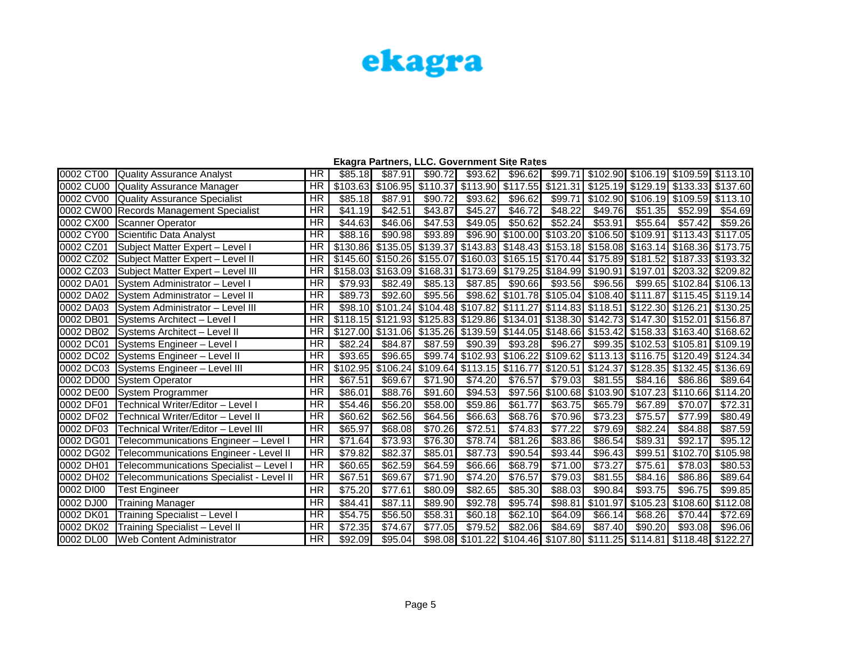|           |                                          |                 |                     |                            |          | Ekagra Partners, LLC. Government Site Rates                                      |                                              |                   |          |          |                                                               |          |
|-----------|------------------------------------------|-----------------|---------------------|----------------------------|----------|----------------------------------------------------------------------------------|----------------------------------------------|-------------------|----------|----------|---------------------------------------------------------------|----------|
| 0002 CT00 | Quality Assurance Analyst                | HR              | \$85.18             | \$87.91                    | \$90.72  | \$93.62                                                                          | \$96.62                                      | \$99.71           |          |          | \$102.90 \$106.19 \$109.59                                    | \$113.10 |
| 0002 CU00 | Quality Assurance Manager                | <b>HR</b>       | \$103.63            | \$106.95                   | \$110.37 | \$113.90                                                                         |                                              |                   |          |          | \$117.55 \$121.31 \$125.19 \$129.19 \$133.33 \$137.60         |          |
| 0002 CV00 | <b>Quality Assurance Specialist</b>      | <b>HR</b>       | \$85.18             | \$87.91                    | \$90.72  | \$93.62                                                                          | \$96.62                                      | \$99.71           |          |          | $$102.90$ $$106.19$ $$109.59$                                 | \$113.10 |
|           | 0002 CW00 Records Management Specialist  | <b>HR</b>       | \$41.19             | \$42.51                    | \$43.87  | \$45.27                                                                          | \$46.72                                      | \$48.22           | \$49.76  | \$51.35  | \$52.99                                                       | \$54.69  |
| 0002 CX00 | Scanner Operator                         | <b>HR</b>       | \$44.63             | \$46.06                    | \$47.53  | \$49.05                                                                          | \$50.62                                      | \$52.24           | \$53.91  | \$55.64  | \$57.42                                                       | \$59.26  |
| 0002 CY00 | Scientific Data Analyst                  | $\overline{HR}$ | \$88.16             | \$90.98                    | \$93.89  | \$96.90                                                                          |                                              |                   |          |          | \$100.00 \$103.20 \$106.50 \$109.91 \$113.43                  | \$117.05 |
| 0002 CZ01 | Subject Matter Expert - Level I          | <b>HR</b>       |                     | \$130.86 \$135.05          | \$139.37 | \$143.83 \$148.43 \$153.18 \$158.08 \$163.14 \$168.36                            |                                              |                   |          |          |                                                               | \$173.75 |
| 0002 CZ02 | Subject Matter Expert - Level II         | <b>HR</b>       |                     | \$145.60 \$150.26 \$155.07 |          |                                                                                  | \$160.03 \$165.15 \$170.44 \$175.89 \$181.52 |                   |          |          | \$187.33 \$193.32                                             |          |
| 0002 CZ03 | Subject Matter Expert - Level III        | <b>HR</b>       | \$158.03            | \$163.09                   | \$168.31 | \$173.69 \$179.25 \$184.99 \$190.91 \$197.01                                     |                                              |                   |          |          | $\overline{$}203.32$                                          | \$209.82 |
| 0002 DA01 | <b>ISystem Administrator - Level I</b>   | <b>HR</b>       | \$79.93             | \$82.49                    | \$85.13  | \$87.85                                                                          | \$90.66                                      | \$93.56           | \$96.56  |          | \$99.65 \$102.84                                              | \$106.13 |
| 0002 DA02 | System Administrator - Level II          | <b>HR</b>       | \$89.73             | \$92.60                    | \$95.56  |                                                                                  |                                              |                   |          |          | \$98.62 \$101.78 \$105.04 \$108.40 \$111.87 \$115.45 \$119.14 |          |
| 0002 DA03 | <b>ISystem Administrator - Level III</b> | <b>HR</b>       |                     |                            |          | \$98.10 \$101.24 \$104.48 \$107.82 \$111.27 \$114.83 \$118.51 \$122.30           |                                              |                   |          |          | \$126.21                                                      | \$130.25 |
| 0002 DB01 | Systems Architect - Level I              | <b>HR</b>       |                     |                            |          | \$118.15 \$121.93 \$125.83 \$129.86 \$134.01 \$138.30 \$142.73 \$147.30 \$152.01 |                                              |                   |          |          |                                                               | \$156.87 |
| 0002 DB02 | Systems Architect - Level II             | <b>HR</b>       | \$127,00            |                            |          | \$131.06 \$135.26 \$139.59 \$144.05 \$148.66 \$153.42 \$158.33 \$163.40 \$168.62 |                                              |                   |          |          |                                                               |          |
| 0002 DC01 | Systems Engineer - Level I               | <b>HR</b>       | \$82.24             | \$84.87                    | \$87.59  | \$90.39                                                                          | \$93.28                                      | \$96.27           |          |          | \$99.35 \$102.53 \$105.81                                     | \$109.19 |
| 0002 DC02 | Systems Engineer - Level II              | <b>HR</b>       | \$93.65             | \$96.65                    |          | \$99.74 \$102.93                                                                 |                                              | \$106.22 \$109.62 |          |          | \$113.13 \$116.75 \$120.49                                    | \$124.34 |
|           | 0002 DC03 Systems Engineer - Level III   | <b>HR</b>       | \$102.95            | \$106.24                   |          | $$109.64$ $$113.15$                                                              |                                              | \$116.77 \$120.51 |          |          | $$124.37$ $$128.35$ $$132.45$                                 | \$136.69 |
| 0002 DD00 | System Operator                          | <b>HR</b>       | \$67.51             | \$69.67                    | \$71.90  | \$74.20                                                                          | \$76.57                                      | \$79.03           | \$81.55  | \$84.16  | \$86.86                                                       | \$89.64  |
| 0002 DE00 | System Programmer                        | <b>HR</b>       | \$86.01             | \$88.76                    | \$91.60  | \$94.53                                                                          |                                              |                   |          |          | \$97.56 \$100.68 \$103.90 \$107.23 \$110.66                   | \$114.20 |
| 0002 DF01 | Technical Writer/Editor - Level I        | <b>HR</b>       | \$54.46             | \$56.20                    | \$58.00  | \$59.86                                                                          | \$61.77                                      | \$63.75           | \$65.79  | \$67.89  | \$70.07                                                       | \$72.31  |
| 0002 DF02 | Technical Writer/Editor - Level II       | <b>HR</b>       | \$60.62             | \$62.56                    | \$64.56  | \$66.63                                                                          | \$68.76                                      | \$70.96           | \$73.23  | \$75.57  | \$77.99                                                       | \$80.49  |
| 0002 DF03 | Technical Writer/Editor - Level III      | HR              | \$65.97             | \$68.08                    | \$70.26  | \$72.51                                                                          | \$74.83                                      | \$77.22           | \$79.69  | \$82.24  | \$84.88                                                       | \$87.59  |
| 0002 DG01 | Telecommunications Engineer - Level I    | $\overline{HR}$ | $\overline{$71.64}$ | \$73.93                    | \$76.30  | \$78.74                                                                          | \$81.26                                      | \$83.86           | \$86.54  | \$89.31  | \$92.17                                                       | \$95.12  |
| 0002 DG02 | Telecommunications Engineer - Level II   | <b>HR</b>       | \$79.82             | \$82.37                    | \$85.01  | \$87.73                                                                          | \$90.54                                      | \$93.44           | \$96.43  | \$99.51  | \$102.70                                                      | \$105.98 |
| 0002 DH01 | Telecommunications Specialist - Level I  | $\overline{HR}$ | \$60.65             | \$62.59                    | \$64.59  | \$66.66                                                                          | \$68.79                                      | \$71.00           | \$73.27  | \$75.61  | \$78.03                                                       | \$80.53  |
| 0002 DH02 | Telecommunications Specialist - Level II | <b>HR</b>       | \$67.51             | \$69.67                    | \$71.90  | \$74.20                                                                          | \$76.57                                      | \$79.03           | \$81.55  | \$84.16  | \$86.86                                                       | \$89.64  |
| 0002 DI00 | <b>Test Engineer</b>                     | <b>HR</b>       | \$75.20             | \$77.61                    | \$80.09  | \$82.65                                                                          | \$85.30                                      | \$88.03           | \$90.84  | \$93.75  | \$96.75                                                       | \$99.85  |
| 0002 DJ00 | <b>Training Manager</b>                  | HR              | \$84.41             | \$87.11                    | \$89.90  | \$92.78                                                                          | \$95.74                                      | \$98.81           | \$101.97 | \$105.23 | \$108.60                                                      | \$112.08 |
| 0002 DK01 | Training Specialist - Level I            | <b>HR</b>       | \$54.75             | \$56.50                    | \$58.31  | \$60.18                                                                          | \$62.10                                      | \$64.09           | \$66.14] | \$68.26  | \$70.44                                                       | \$72.69  |
| 0002 DK02 | Training Specialist - Level II           | <b>HR</b>       | \$72.35             | \$74.67                    | \$77.05  | \$79.52                                                                          | \$82.06                                      | \$84.69           | \$87.40  | \$90.20  | \$93.08                                                       | \$96.06  |
| 0002 DL00 | <b>IWeb Content Administrator</b>        | HR              | \$92.09             | \$95.04                    |          | \$98.08 \$101.22 \$104.46 \$107.80 \$111.25 \$114.81 \$118.48                    |                                              |                   |          |          |                                                               | \$122.27 |